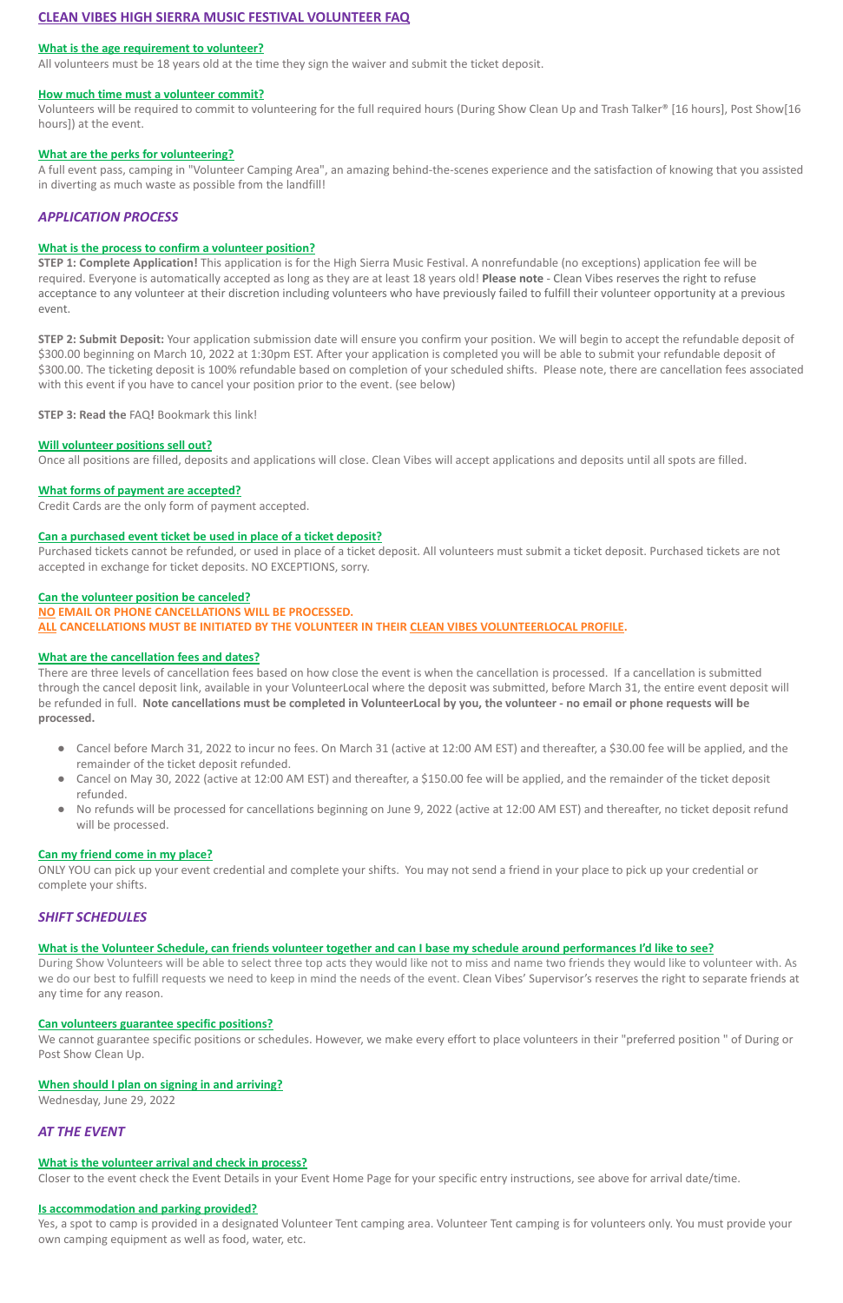# **CLEAN VIBES HIGH SIERRA MUSIC FESTIVAL VOLUNTEER FAQ**

#### **What is the age requirement to volunteer?**

All volunteers must be 18 years old at the time they sign the waiver and submit the ticket deposit.

#### **How much time must a volunteer commit?**

Volunteers will be required to commit to volunteering for the full required hours (During Show Clean Up and Trash Talker® [16 hours], Post Show[16 hours]) at the event.

#### **What are the perks for volunteering?**

A full event pass, camping in "Volunteer Camping Area", an amazing behind-the-scenes experience and the satisfaction of knowing that you assisted in diverting as much waste as possible from the landfill!

## *APPLICATION PROCESS*

#### **What is the process to confirm a volunteer position?**

**STEP 1: Complete Application!** This application is for the High Sierra Music Festival. A nonrefundable (no exceptions) application fee will be required. Everyone is automatically accepted as long as they are at least 18 years old! **Please note** - Clean Vibes reserves the right to refuse acceptance to any volunteer at their discretion including volunteers who have previously failed to fulfill their volunteer opportunity at a previous event.

**STEP 2: Submit Deposit:** Your application submission date will ensure you confirm your position. We will begin to accept the refundable deposit of \$300.00 beginning on March 10, 2022 at 1:30pm EST. After your application is completed you will be able to submit your refundable deposit of \$300.00. The ticketing deposit is 100% refundable based on completion of your scheduled shifts. Please note, there are cancellation fees associated with this event if you have to cancel your position prior to the event. (see below)

**STEP 3: Read the** FAQ**!** Bookmark this link!

- Cancel before March 31, 2022 to incur no fees. On March 31 (active at 12:00 AM EST) and thereafter, a \$30.00 fee will be applied, and the remainder of the ticket deposit refunded.
- Cancel on May 30, 2022 (active at 12:00 AM EST) and thereafter, a \$150.00 fee will be applied, and the remainder of the ticket deposit refunded.
- No refunds will be processed for cancellations beginning on June 9, 2022 (active at 12:00 AM EST) and thereafter, no ticket deposit refund will be processed.

#### **Will volunteer positions sell out?**

Once all positions are filled, deposits and applications will close. Clean Vibes will accept applications and deposits until all spots are filled.

### **What forms of payment are accepted?**

Credit Cards are the only form of payment accepted.

### **Can a purchased event ticket be used in place of a ticket deposit?**

Purchased tickets cannot be refunded, or used in place of a ticket deposit. All volunteers must submit a ticket deposit. Purchased tickets are not accepted in exchange for ticket deposits. NO EXCEPTIONS, sorry.

#### **Can the volunteer position be canceled?**

**NO EMAIL OR PHONE CANCELLATIONS WILL BE PROCESSED. ALL CANCELLATIONS MUST BE INITIATED BY THE VOLUNTEER IN THEIR CLEAN VIBES VOLUNTEERLOCAL PROFILE.**

Yes, a spot to camp is provided in a designated Volunteer Tent camping area. Volunteer Tent camping is for volunteers only. You must provide your own camping equipment as well as food, water, etc.

### **What are the cancellation fees and dates?**

There are three levels of cancellation fees based on how close the event is when the cancellation is processed. If a cancellation is submitted through the cancel deposit link, available in your VolunteerLocal where the deposit was submitted, before March 31, the entire event deposit will be refunded in full. **Note cancellations must be completed in VolunteerLocal by you, the volunteer - no email or phone requests will be processed.**

#### **Can my friend come in my place?**

ONLY YOU can pick up your event credential and complete your shifts. You may not send a friend in your place to pick up your credential or complete your shifts.

## *SHIFT SCHEDULES*

**What is the Volunteer Schedule, can friends volunteer together and can I base my schedule around performances I'd like to see?**

During Show Volunteers will be able to select three top acts they would like not to miss and name two friends they would like to volunteer with. As we do our best to fulfill requests we need to keep in mind the needs of the event. Clean Vibes' Supervisor's reserves the right to separate friends at any time for any reason.

#### **Can volunteers guarantee specific positions?**

We cannot guarantee specific positions or schedules. However, we make every effort to place volunteers in their "preferred position " of During or Post Show Clean Up.

#### **When should I plan on signing in and arriving?**

Wednesday, June 29, 2022

## *AT THE EVENT*

### **What is the volunteer arrival and check in process?**

Closer to the event check the Event Details in your Event Home Page for your specific entry instructions, see above for arrival date/time.

#### **Is accommodation and parking provided?**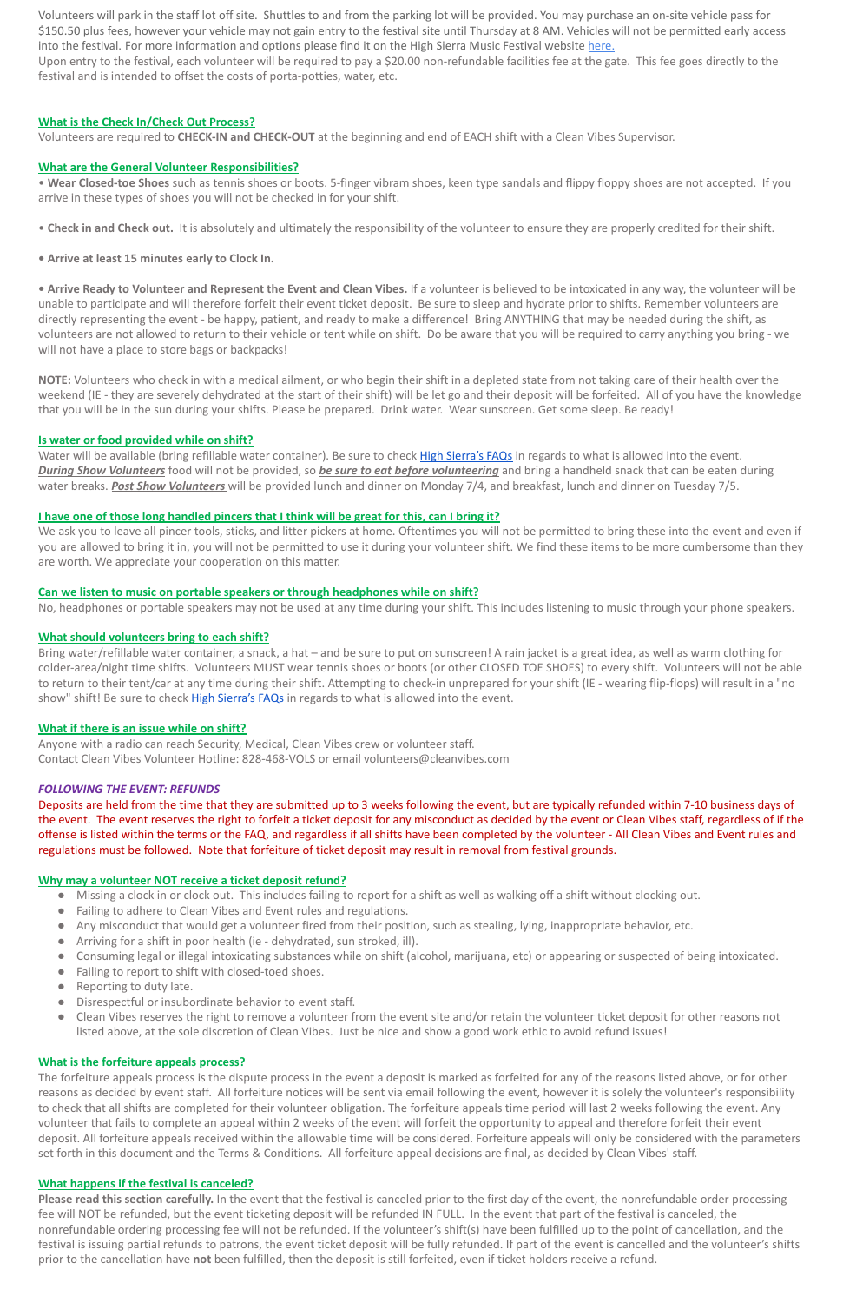Volunteers will park in the staff lot off site. Shuttles to and from the parking lot will be provided. You may purchase an on-site vehicle pass for \$150.50 plus fees, however your vehicle may not gain entry to the festival site until Thursday at 8 AM. Vehicles will not be permitted early access into the festival. For more information and options please find it on the High Sierra Music Festival website [here.](http://highsierramusic.com/camping-parking/)

Upon entry to the festival, each volunteer will be required to pay a \$20.00 non-refundable facilities fee at the gate. This fee goes directly to the festival and is intended to offset the costs of porta-potties, water, etc.

**• Arrive Ready to Volunteer and Represent the Event and Clean Vibes.** If a volunteer is believed to be intoxicated in any way, the volunteer will be unable to participate and will therefore forfeit their event ticket deposit. Be sure to sleep and hydrate prior to shifts. Remember volunteers are directly representing the event - be happy, patient, and ready to make a difference! Bring ANYTHING that may be needed during the shift, as volunteers are not allowed to return to their vehicle or tent while on shift. Do be aware that you will be required to carry anything you bring - we will not have a place to store bags or backpacks!

### **What is the Check In/Check Out Process?**

Volunteers are required to **CHECK-IN and CHECK-OUT** at the beginning and end of EACH shift with a Clean Vibes Supervisor.

#### **What are the General Volunteer Responsibilities?**

• **Wear Closed-toe Shoes** such as tennis shoes or boots. 5-finger vibram shoes, keen type sandals and flippy floppy shoes are not accepted. If you arrive in these types of shoes you will not be checked in for your shift.

• **Check in and Check out.** It is absolutely and ultimately the responsibility of the volunteer to ensure they are properly credited for their shift.

**• Arrive at least 15 minutes early to Clock In.**

Water will be available (bring refillable water container). Be sure to check [High Sierra's FAQs](http://highsierramusic.com/faq/) in regards to what is allowed into the event. *During Show Volunteers* food will not be provided, so *be sure to eat before volunteering* and bring a handheld snack that can be eaten during water breaks. *Post Show Volunteers* will be provided lunch and dinner on Monday 7/4, and breakfast, lunch and dinner on Tuesday 7/5.

We ask you to leave all pincer tools, sticks, and litter pickers at home. Oftentimes you will not be permitted to bring these into the event and even if you are allowed to bring it in, you will not be permitted to use it during your volunteer shift. We find these items to be more cumbersome than they are worth. We appreciate your cooperation on this matter.

Bring water/refillable water container, a snack, a hat – and be sure to put on sunscreen! A rain jacket is a great idea, as well as warm clothing for colder-area/night time shifts. Volunteers MUST wear tennis shoes or boots (or other CLOSED TOE SHOES) to every shift. Volunteers will not be able to return to their tent/car at any time during their shift. Attempting to check-in unprepared for your shift (IE - wearing flip-flops) will result in a "no show" shift! Be sure to check [High Sierra's FAQs](http://highsierramusic.com/faq/) in regards to what is allowed into the event.

**NOTE:** Volunteers who check in with a medical ailment, or who begin their shift in a depleted state from not taking care of their health over the weekend (IE - they are severely dehydrated at the start of their shift) will be let go and their deposit will be forfeited. All of you have the knowledge that you will be in the sun during your shifts. Please be prepared. Drink water. Wear sunscreen. Get some sleep. Be ready!

### **Is water or food provided while on shift?**

### **I have one of those long handled pincers that I think will be great for this, can I bring it?**

### **Can we listen to music on portable speakers or through headphones while on shift?**

No, headphones or portable speakers may not be used at any time during your shift. This includes listening to music through your phone speakers.

### **What should volunteers bring to each shift?**

Please read this section carefully. In the event that the festival is canceled prior to the first day of the event, the nonrefundable order processing fee will NOT be refunded, but the event ticketing deposit will be refunded IN FULL. In the event that part of the festival is canceled, the nonrefundable ordering processing fee will not be refunded. If the volunteer's shift(s) have been fulfilled up to the point of cancellation, and the festival is issuing partial refunds to patrons, the event ticket deposit will be fully refunded. If part of the event is cancelled and the volunteer's shifts prior to the cancellation have **not** been fulfilled, then the deposit is still forfeited, even if ticket holders receive a refund.

### **What if there is an issue while on shift?**

Anyone with a radio can reach Security, Medical, Clean Vibes crew or volunteer staff. Contact Clean Vibes Volunteer Hotline: 828-468-VOLS or email volunteers@cleanvibes.com

### *FOLLOWING THE EVENT: REFUNDS*

Deposits are held from the time that they are submitted up to 3 weeks following the event, but are typically refunded within 7-10 business days of the event. The event reserves the right to forfeit a ticket deposit for any misconduct as decided by the event or Clean Vibes staff, regardless of if the offense is listed within the terms or the FAQ, and regardless if all shifts have been completed by the volunteer - All Clean Vibes and Event rules and regulations must be followed. Note that forfeiture of ticket deposit may result in removal from festival grounds.

### **Why may a volunteer NOT receive a ticket deposit refund?**

- Missing a clock in or clock out. This includes failing to report for a shift as well as walking off a shift without clocking out.
- Failing to adhere to Clean Vibes and Event rules and regulations.
- Any misconduct that would get a volunteer fired from their position, such as stealing, lying, inappropriate behavior, etc.
- Arriving for a shift in poor health (ie dehydrated, sun stroked, ill).
- Consuming legal or illegal intoxicating substances while on shift (alcohol, marijuana, etc) or appearing or suspected of being intoxicated.
- 
- Failing to report to shift with closed-toed shoes.
- Reporting to duty late.
- Disrespectful or insubordinate behavior to event staff.
- Clean Vibes reserves the right to remove a volunteer from the event site and/or retain the volunteer ticket deposit for other reasons not listed above, at the sole discretion of Clean Vibes. Just be nice and show a good work ethic to avoid refund issues!

### **What is the forfeiture appeals process?**

The forfeiture appeals process is the dispute process in the event a deposit is marked as forfeited for any of the reasons listed above, or for other reasons as decided by event staff. All forfeiture notices will be sent via email following the event, however it is solely the volunteer's responsibility to check that all shifts are completed for their volunteer obligation. The forfeiture appeals time period will last 2 weeks following the event. Any volunteer that fails to complete an appeal within 2 weeks of the event will forfeit the opportunity to appeal and therefore forfeit their event deposit. All forfeiture appeals received within the allowable time will be considered. Forfeiture appeals will only be considered with the parameters set forth in this document and the Terms & Conditions. All forfeiture appeal decisions are final, as decided by Clean Vibes' staff.

### **What happens if the festival is canceled?**